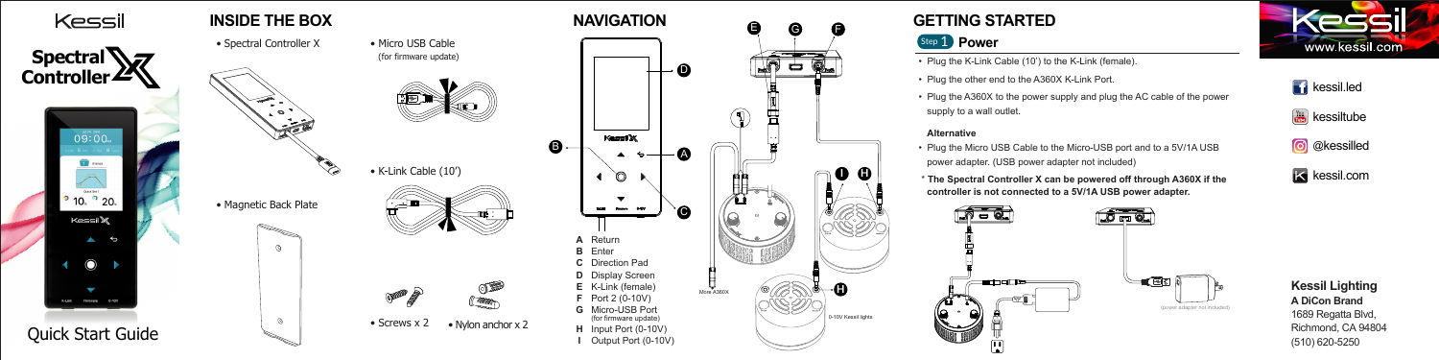

### **Kessil Lighting A DiCon Brand** 1689 Regatta Blvd,





E

G

ات

F

**I H**

**H**

 $\int$  0-10V Kessil lights



• Plug the other end to the A360X K-Link Port.

#### **Alternative**

- Plug the K-Link Cable (10') to the K-Link (female).
- 
- Plug the A360X to the power supply and plug the AC cable of the power supply to a wall outlet.
- 
- 
- \* **The Spectral Controller X can be powered off through A360X if the controller is not connected to a 5V/1A USB power adapter.**



# Step 1 **Power**

• Plug the Micro USB Cable to the Micro-USB port and to a 5V/1A USB power adapter. (USB power adapter not included)